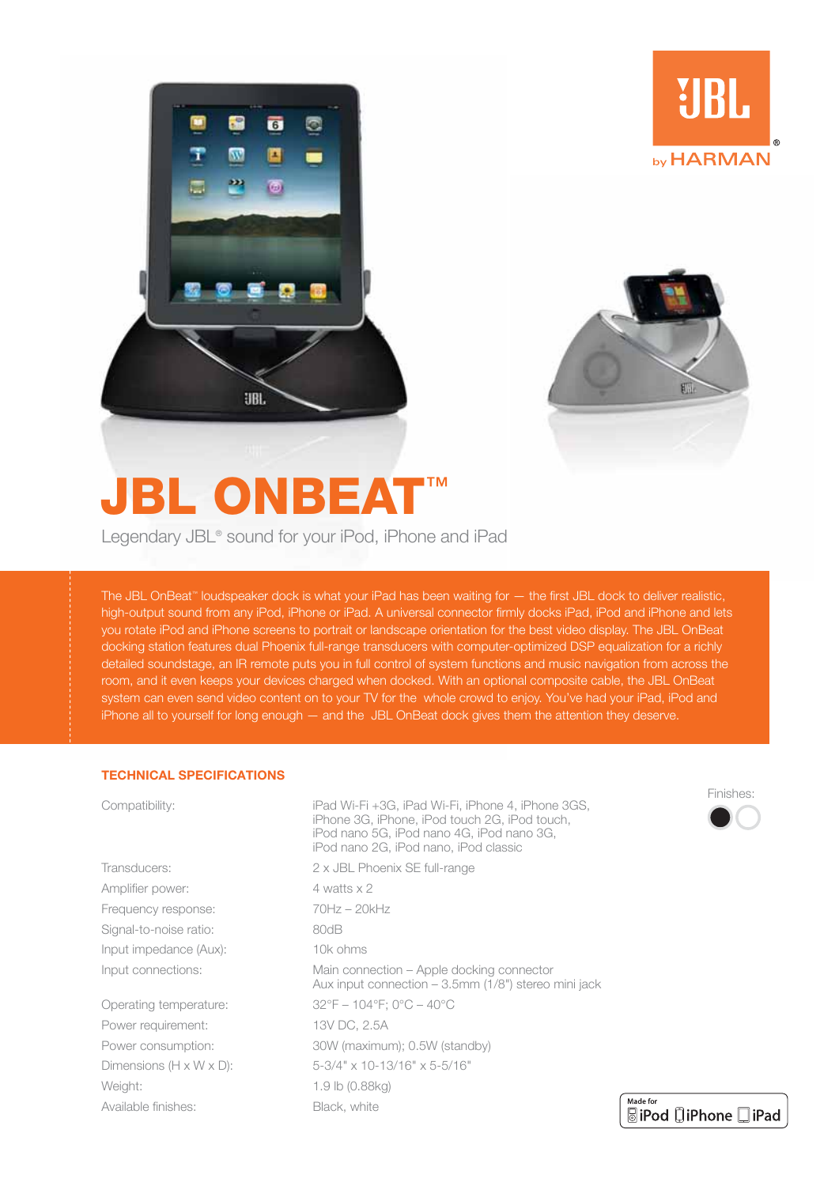



**UBL** 

by HARMAN

# **JBL ONBEAT™**

Legendary JBL<sup>®</sup> sound for your iPod, iPhone and iPad

The JBL OnBeat<sup>™</sup> loudspeaker dock is what your iPad has been waiting for - the first JBL dock to deliver realistic, high-output sound from any iPod, iPhone or iPad. A universal connector firmly docks iPad, iPod and iPhone and lets you rotate iPod and iPhone screens to portrait or landscape orientation for the best video display. The JBL OnBeat docking station features dual Phoenix full-range transducers with computer-optimized DSP equalization for a richly detailed soundstage, an IR remote puts you in full control of system functions and music navigation from across the room, and it even keeps your devices charged when docked. With an optional composite cable, the JBL OnBeat system can even send video content on to your TV for the whole crowd to enjoy. You've had your iPad, iPod and iPhone all to yourself for long enough - and the JBL OnBeat dock gives them the attention they deserve.

#### **TECHNICAL SPECIFICATIONS**

| Compatibility:                       | iPad Wi-Fi +3G, iPad Wi-Fi, iPhone 4, iPhone 3GS,<br>iPhone 3G, iPhone, iPod touch 2G, iPod touch,<br>iPod nano 5G, iPod nano 4G, iPod nano 3G,<br>iPod nano 2G, iPod nano, iPod classic |  |
|--------------------------------------|------------------------------------------------------------------------------------------------------------------------------------------------------------------------------------------|--|
| Transducers:                         | 2 x JBL Phoenix SE full-range                                                                                                                                                            |  |
| Amplifier power:                     | 4 watts x 2                                                                                                                                                                              |  |
| Frequency response:                  | $70Hz - 20kHz$                                                                                                                                                                           |  |
| Signal-to-noise ratio:               | 80dB                                                                                                                                                                                     |  |
| Input impedance (Aux):               | 10k ohms                                                                                                                                                                                 |  |
| Input connections:                   | Main connection – Apple docking connector<br>Aux input connection $-3.5$ mm (1/8") stereo mini jack                                                                                      |  |
| Operating temperature:               | $32^{\circ}F - 104^{\circ}F$ : 0°C - 40°C                                                                                                                                                |  |
| Power requirement:                   | 13V DC, 2.5A                                                                                                                                                                             |  |
| Power consumption:                   | 30W (maximum); 0.5W (standby)                                                                                                                                                            |  |
| Dimensions $(H \times W \times D)$ : | 5-3/4" x 10-13/16" x 5-5/16"                                                                                                                                                             |  |
| Weight:                              | 1.9 lb (0.88kg)                                                                                                                                                                          |  |
| Available finishes:                  | Ma<br>Black, white<br>局                                                                                                                                                                  |  |
|                                      |                                                                                                                                                                                          |  |



| Made for |                            |  |
|----------|----------------------------|--|
|          | <b>SiPod DiPhone DiPad</b> |  |